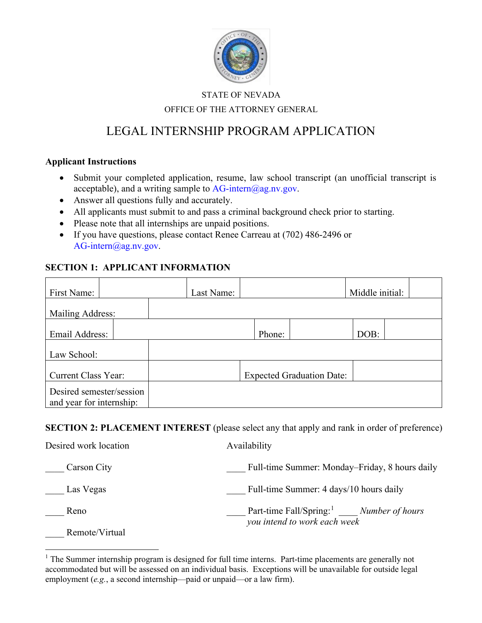

### STATE OF NEVADA OFFICE OF THE ATTORNEY GENERAL

# LEGAL INTERNSHIP PROGRAM APPLICATION

#### **Applicant Instructions**

- Submit your completed application, resume, law school transcript (an unofficial transcript is acceptable), and a writing sample to  $AG\text{-}\text{intern}(Q\text{ag}.\text{n}v.\text{gov.}$
- Answer all questions fully and accurately.
- All applicants must submit to and pass a criminal background check prior to starting.
- Please note that all internships are unpaid positions.
- If you have questions, please contact Renee Carreau at (702) 486-2496 or AG-intern@ag.nv.gov.

### **SECTION 1: APPLICANT INFORMATION**

| First Name:                | Last Name: |                                  | Middle initial: |
|----------------------------|------------|----------------------------------|-----------------|
| Mailing Address:           |            |                                  |                 |
| Email Address:             |            | Phone:                           | DOB:            |
| Law School:                |            |                                  |                 |
| <b>Current Class Year:</b> |            | <b>Expected Graduation Date:</b> |                 |
| Desired semester/session   |            |                                  |                 |
| and year for internship:   |            |                                  |                 |

**SECTION 2: PLACEMENT INTEREST** (please select any that apply and rank in order of preference)

| Desired work location | Availability                                                                             |
|-----------------------|------------------------------------------------------------------------------------------|
| Carson City           | Full-time Summer: Monday–Friday, 8 hours daily                                           |
| Las Vegas             | Full-time Summer: 4 days/10 hours daily                                                  |
| Reno                  | Part-time Fall/Spring: <sup>1</sup> ____ Number of hours<br>you intend to work each week |
| Remote/Virtual        |                                                                                          |

<span id="page-0-0"></span><sup>&</sup>lt;sup>1</sup> The Summer internship program is designed for full time interns. Part-time placements are generally not accommodated but will be assessed on an individual basis. Exceptions will be unavailable for outside legal employment (*e.g.*, a second internship—paid or unpaid—or a law firm).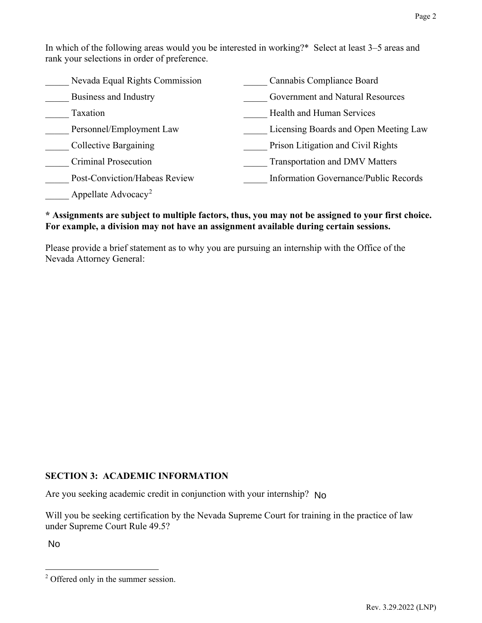| Nevada Equal Rights Commission  | Cannabis Compliance Board             |
|---------------------------------|---------------------------------------|
| Business and Industry           | Government and Natural Resources      |
| Taxation                        | Health and Human Services             |
| Personnel/Employment Law        | Licensing Boards and Open Meeting Law |
| Collective Bargaining           | Prison Litigation and Civil Rights    |
| Criminal Prosecution            | Transportation and DMV Matters        |
| Post-Conviction/Habeas Review   | Information Governance/Public Records |
| Appellate Advocacy <sup>2</sup> |                                       |

### **\* Assignments are subject to multiple factors, thus, you may not be assigned to your first choice. For example, a division may not have an assignment available during certain sessions.**

Please provide a brief statement as to why you are pursuing an internship with the Office of the Nevada Attorney General:

## **SECTION 3: ACADEMIC INFORMATION**

Are you seeking academic credit in conjunction with your internship? No

Will you be seeking certification by the Nevada Supreme Court for training in the practice of law under Supreme Court Rule 49.5? Are you seeking academic credit in conjunction with your internship? No<br>Will you be seeking certification by the Nevada Supreme Court for trainin<br>inder Supreme Court Rule 49.5?<br>No

<span id="page-1-0"></span><sup>&</sup>lt;sup>2</sup> Offered only in the summer session.